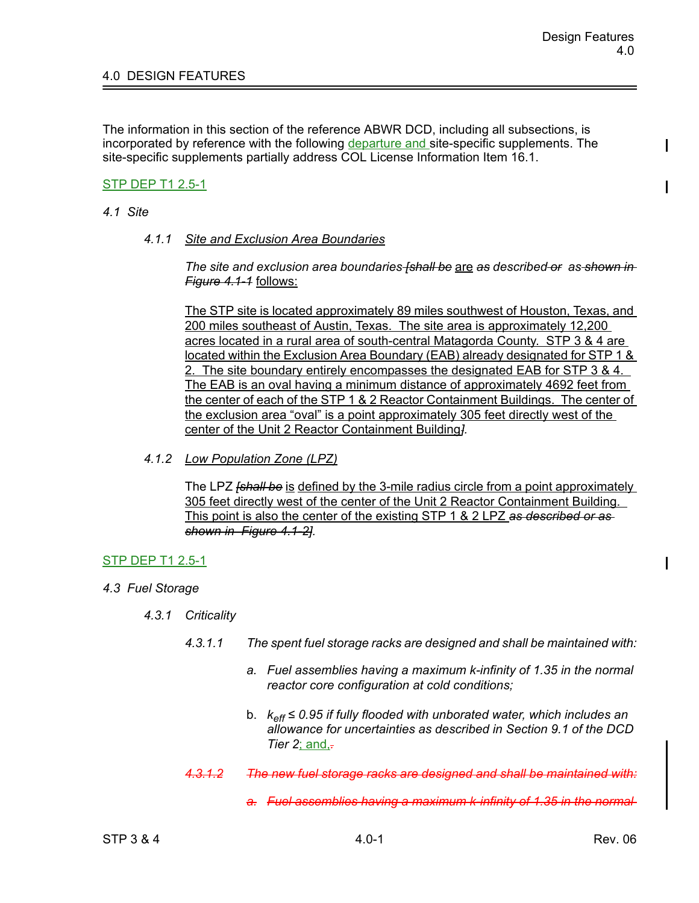# 4.0 DESIGN FEATURES

The information in this section of the reference ABWR DCD, including all subsections, is incorporated by reference with the following departure and site-specific supplements. The site-specific supplements partially address COL License Information Item 16.1.

## STP DEP T1 2.5-1

### *4.1 Site*

*4.1.1 Site and Exclusion Area Boundaries*

*The site and exclusion area boundaries [shall be* are *as described or as shown in Figure 4.1-1* follows:

The STP site is located approximately 89 miles southwest of Houston, Texas, and 200 miles southeast of Austin, Texas. The site area is approximately 12,200 acres located in a rural area of south-central Matagorda County. STP 3 & 4 are located within the Exclusion Area Boundary (EAB) already designated for STP 1 & 2. The site boundary entirely encompasses the designated EAB for STP 3 & 4. The EAB is an oval having a minimum distance of approximately 4692 feet from the center of each of the STP 1 & 2 Reactor Containment Buildings. The center of the exclusion area "oval" is a point approximately 305 feet directly west of the center of the Unit 2 Reactor Containment Building*].*

*4.1.2 Low Population Zone (LPZ)*

The LPZ *[shall be* is defined by the 3-mile radius circle from a point approximately 305 feet directly west of the center of the Unit 2 Reactor Containment Building. This point is also the center of the existing STP 1 & 2 LPZ *as described or as shown in Figure 4.1-2].*

### STP DEP T1 2.5-1

- *4.3 Fuel Storage*
	- *4.3.1 Criticality*
		- *4.3.1.1 The spent fuel storage racks are designed and shall be maintained with:*
			- *a. Fuel assemblies having a maximum k-infinity of 1.35 in the normal reactor core configuration at cold conditions;*
			- b. *keff ≤ 0.95 if fully flooded with unborated water, which includes an allowance for uncertainties as described in Section 9.1 of the DCD Tier 2*; and,*.*
		- *4.3.1.2 The new fuel storage racks are designed and shall be maintained with:*
			- *a. Fuel assemblies having a maximum k-infinity of 1.35 in the normal*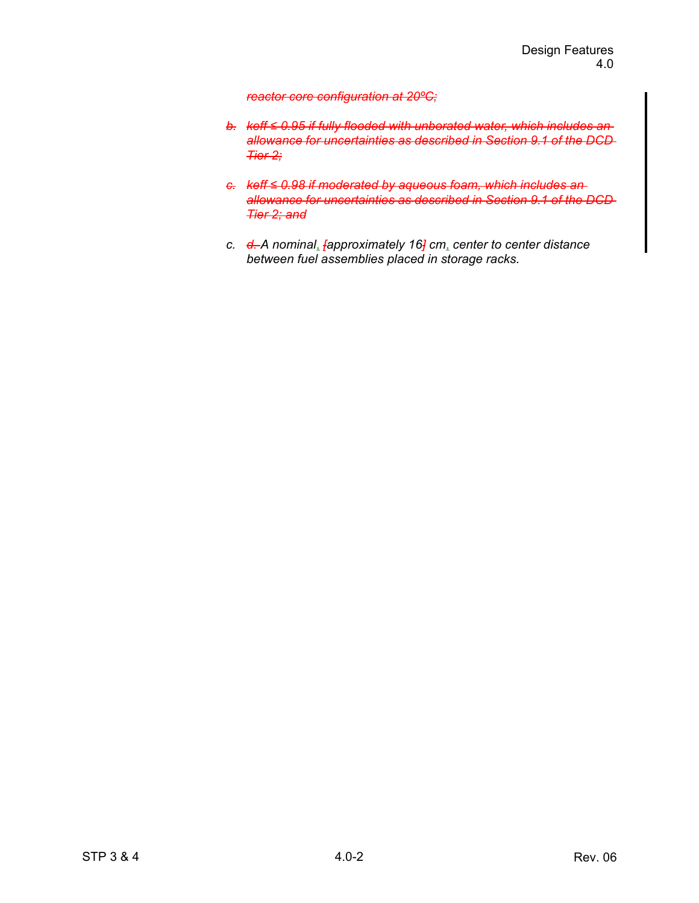#### *reactor core configuration at 20ºC;*

- *b. keff ≤ 0.95 if fully flooded with unborated water, which includes an allowance for uncertainties as described in Section 9.1 of the DCD Tier 2;*
- *c. keff ≤ 0.98 if moderated by aqueous foam, which includes an allowance for uncertainties as described in Section 9.1 of the DCD Tier 2; and*
- *c. d. A nominal*, *[approximately 16] cm*, *center to center distance between fuel assemblies placed in storage racks.*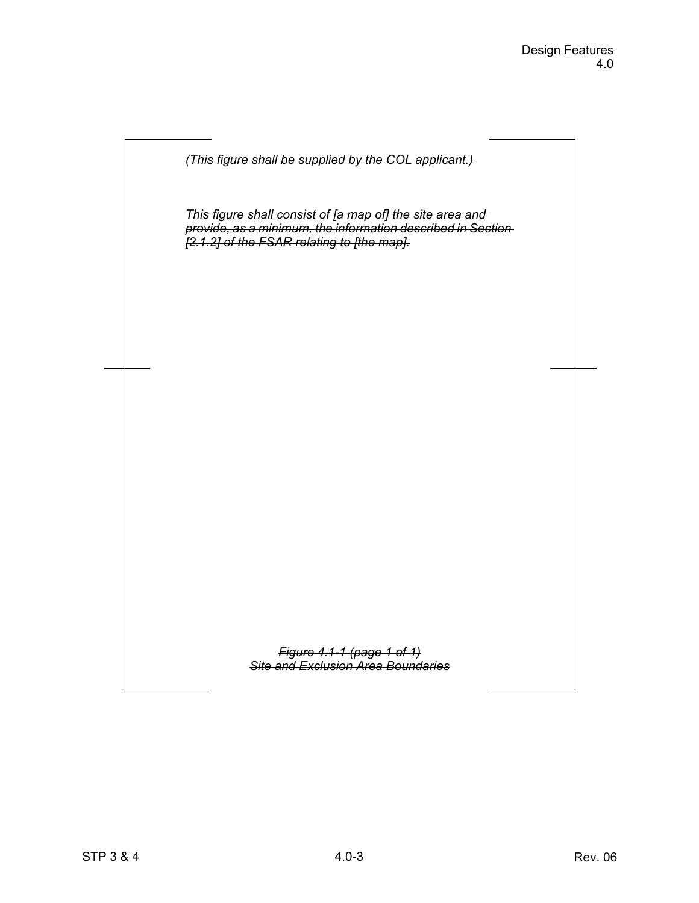

*This figure shall consist of [a map of] the site area and provide, as a minimum, the information described in Section [2.1.2] of the FSAR relating to [the map].*

> *Figure 4.1-1 (page 1 of 1) Site and Exclusion Area Boundaries*